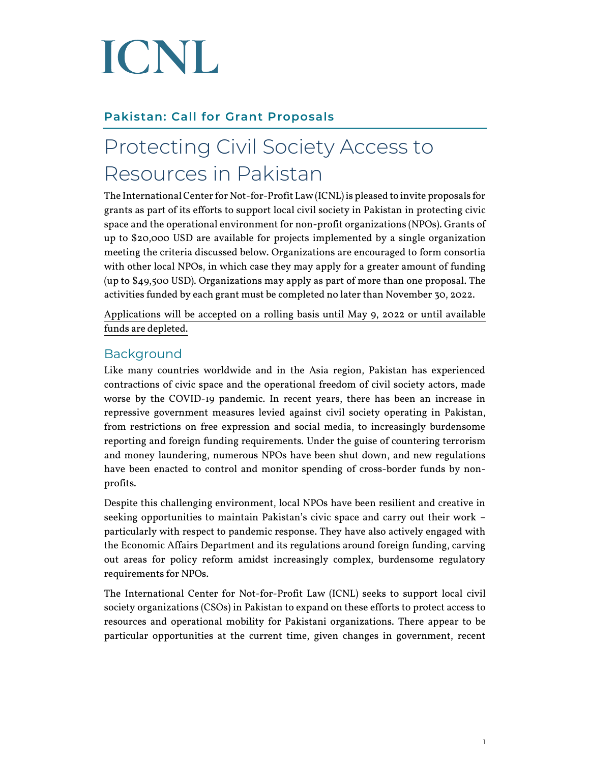# ICNL

#### **Pakistan: Call for Grant Proposals**

### Protecting Civil Society Access to Resources in Pakistan

The International Center for Not-for-Profit Law (ICNL) is pleased to invite proposals for grants as part of its efforts to support local civil society in Pakistan in protecting civic space and the operational environment for non-profit organizations (NPOs). Grants of up to \$20,000 USD are available for projects implemented by a single organization meeting the criteria discussed below. Organizations are encouraged to form consortia with other local NPOs, in which case they may apply for a greater amount of funding (up to \$49,500 USD). Organizations may apply as part of more than one proposal. The activities funded by each grant must be completed no later than November 30, 2022.

Applications will be accepted on a rolling basis until May 9, 2022 or until available funds are depleted.

#### Background

Like many countries worldwide and in the Asia region, Pakistan has experienced contractions of civic space and the operational freedom of civil society actors, made worse by the COVID-19 pandemic. In recent years, there has been an increase in repressive government measures levied against civil society operating in Pakistan, from restrictions on free expression and social media, to increasingly burdensome reporting and foreign funding requirements. Under the guise of countering terrorism and money laundering, numerous NPOs have been shut down, and new regulations have been enacted to control and monitor spending of cross-border funds by nonprofits.

Despite this challenging environment, local NPOs have been resilient and creative in seeking opportunities to maintain Pakistan's civic space and carry out their work – particularly with respect to pandemic response. They have also actively engaged with the Economic Affairs Department and its regulations around foreign funding, carving out areas for policy reform amidst increasingly complex, burdensome regulatory requirements for NPOs.

The International Center for Not-for-Profit Law (ICNL) seeks to support local civil society organizations (CSOs) in Pakistan to expand on these efforts to protect access to resources and operational mobility for Pakistani organizations. There appear to be particular opportunities at the current time, given changes in government, recent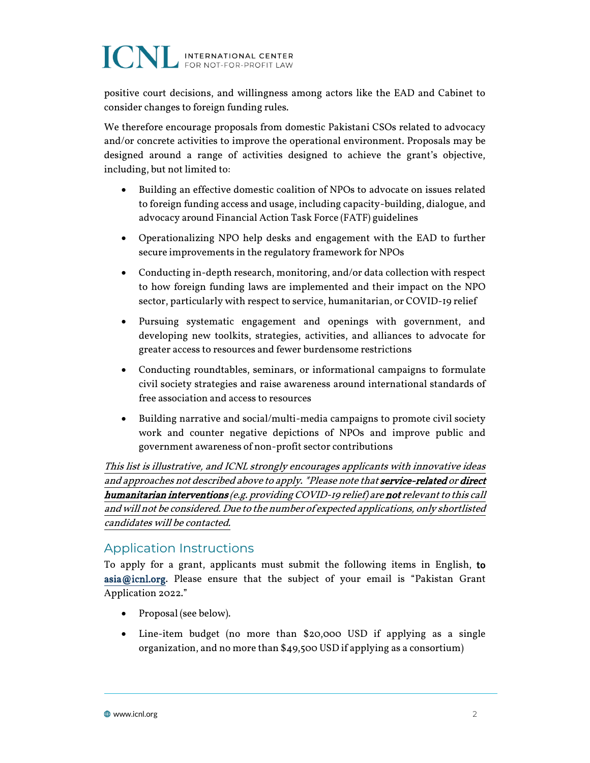## **ICNL INTERNATIONAL CENTER**

positive court decisions, and willingness among actors like the EAD and Cabinet to consider changes to foreign funding rules.

We therefore encourage proposals from domestic Pakistani CSOs related to advocacy and/or concrete activities to improve the operational environment. Proposals may be designed around a range of activities designed to achieve the grant's objective, including, but not limited to:

- Building an effective domestic coalition of NPOs to advocate on issues related to foreign funding access and usage, including capacity-building, dialogue, and advocacy around Financial Action Task Force (FATF) guidelines
- Operationalizing NPO help desks and engagement with the EAD to further secure improvements in the regulatory framework for NPOs
- Conducting in-depth research, monitoring, and/or data collection with respect to how foreign funding laws are implemented and their impact on the NPO sector, particularly with respect to service, humanitarian, or COVID-19 relief
- Pursuing systematic engagement and openings with government, and developing new toolkits, strategies, activities, and alliances to advocate for greater access to resources and fewer burdensome restrictions
- Conducting roundtables, seminars, or informational campaigns to formulate civil society strategies and raise awareness around international standards of free association and access to resources
- Building narrative and social/multi-media campaigns to promote civil society work and counter negative depictions of NPOs and improve public and government awareness of non-profit sector contributions

This list is illustrative, and ICNL strongly encourages applicants with innovative ideas and approaches not described above to apply. \*Please note that service-related or direct humanitarian interventions (e.g. providing COVID-19 relief) are not relevant to this call and will not be considered. Due to the number of expected applications, only shortlisted candidates will be contacted.

#### Application Instructions

To apply for a grant, applicants must submit the following items in English, to [asia@icnl.org](mailto:asia@icnl.org). Please ensure that the subject of your email is "Pakistan Grant Application 2022."

- Proposal (see below).
- Line-item budget (no more than \$20,000 USD if applying as a single organization, and no more than \$49,500 USD if applying as a consortium)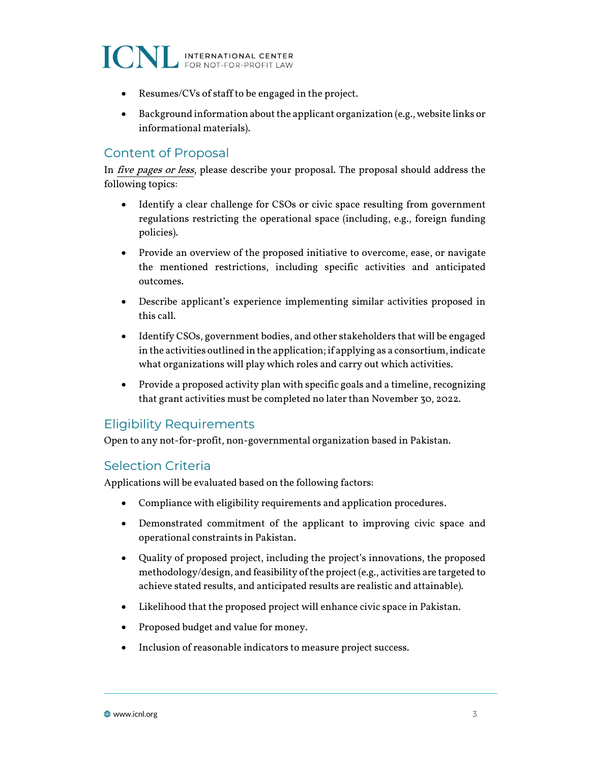ICNL INTERNATIONAL CENTER

- Resumes/CVs of staff to be engaged in the project.
- Background information about the applicant organization (e.g., website links or informational materials).

#### Content of Proposal

In five pages or less, please describe your proposal. The proposal should address the following topics:

- Identify a clear challenge for CSOs or civic space resulting from government regulations restricting the operational space (including, e.g., foreign funding policies).
- Provide an overview of the proposed initiative to overcome, ease, or navigate the mentioned restrictions, including specific activities and anticipated outcomes.
- Describe applicant's experience implementing similar activities proposed in this call.
- Identify CSOs, government bodies, and other stakeholders that will be engaged in the activities outlined in the application; if applying as a consortium, indicate what organizations will play which roles and carry out which activities.
- Provide a proposed activity plan with specific goals and a timeline, recognizing that grant activities must be completed no later than November 30, 2022.

#### Eligibility Requirements

Open to any not-for-profit, non-governmental organization based in Pakistan.

#### Selection Criteria

Applications will be evaluated based on the following factors:

- Compliance with eligibility requirements and application procedures.
- Demonstrated commitment of the applicant to improving civic space and operational constraints in Pakistan.
- Quality of proposed project, including the project's innovations, the proposed methodology/design, and feasibility of the project (e.g., activities are targeted to achieve stated results, and anticipated results are realistic and attainable).
- Likelihood that the proposed project will enhance civic space in Pakistan.
- Proposed budget and value for money.
- Inclusion of reasonable indicators to measure project success.